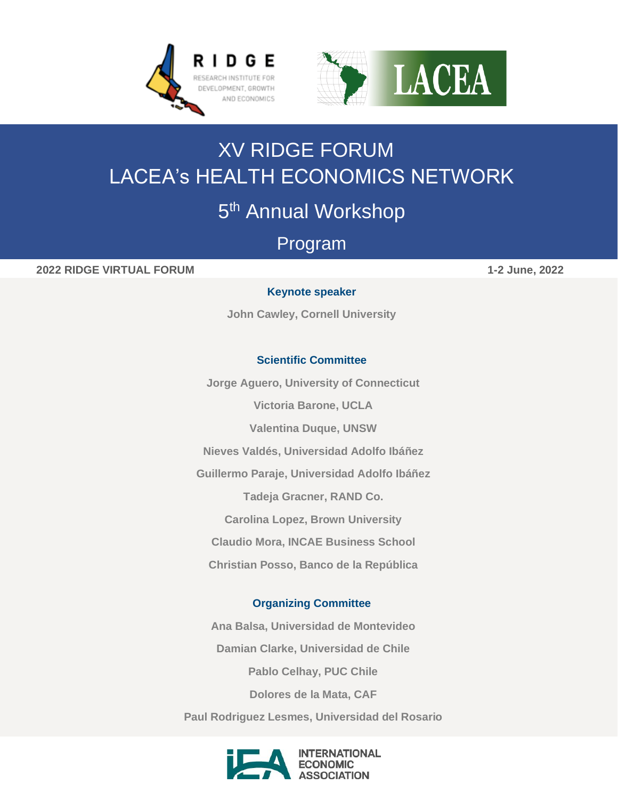



# XV RIDGE FORUM LACEA's HEALTH ECONOMICS NETWORK

## 5<sup>th</sup> Annual Workshop

## Program

**2022 RIDGE VIRTUAL FORUM 1-2 June, 2022**

#### **Keynote speaker**

**John Cawley, Cornell University** 

#### **Scientific Committee**

**Jorge Aguero, University of Connecticut**

**Victoria Barone, UCLA**

**Valentina Duque, UNSW**

**Nieves Valdés, Universidad Adolfo Ibáñez**

**Guillermo Paraje, Universidad Adolfo Ibáñez**

**Tadeja Gracner, RAND Co.**

**Carolina Lopez, Brown University**

**Claudio Mora, INCAE Business School**

**Christian Posso, Banco de la República**

#### **Organizing Committee**

**Ana Balsa, Universidad de Montevideo Damian Clarke, Universidad de Chile Pablo Celhay, PUC Chile Dolores de la Mata, CAF**



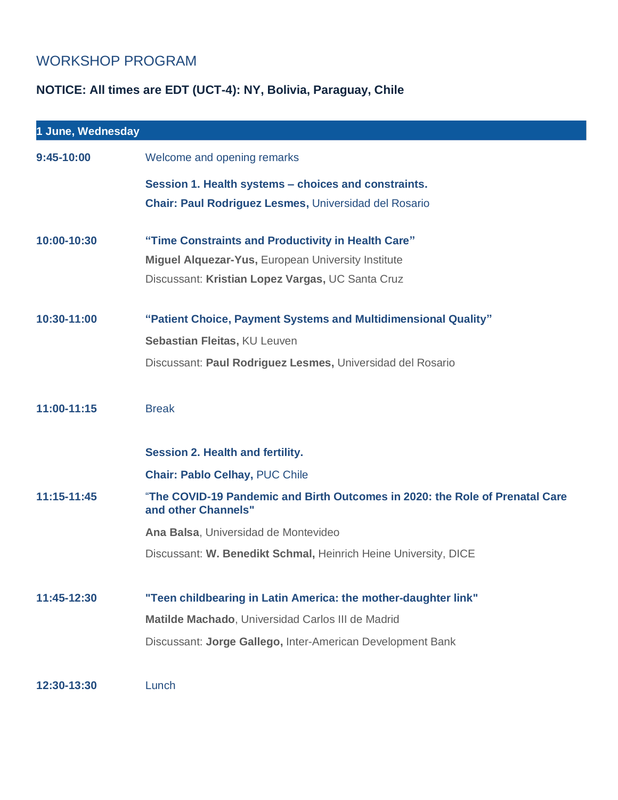### WORKSHOP PROGRAM

## **NOTICE: All times are EDT (UCT-4): NY, Bolivia, Paraguay, Chile**

| 1 June, Wednesday |                                                                                                     |
|-------------------|-----------------------------------------------------------------------------------------------------|
| 9:45-10:00        | Welcome and opening remarks                                                                         |
|                   | Session 1. Health systems - choices and constraints.                                                |
|                   | <b>Chair: Paul Rodriguez Lesmes, Universidad del Rosario</b>                                        |
| 10:00-10:30       | "Time Constraints and Productivity in Health Care"                                                  |
|                   | <b>Miguel Alquezar-Yus, European University Institute</b>                                           |
|                   | Discussant: Kristian Lopez Vargas, UC Santa Cruz                                                    |
| 10:30-11:00       | "Patient Choice, Payment Systems and Multidimensional Quality"                                      |
|                   | Sebastian Fleitas, KU Leuven                                                                        |
|                   | Discussant: Paul Rodriguez Lesmes, Universidad del Rosario                                          |
| 11:00-11:15       | <b>Break</b>                                                                                        |
|                   | <b>Session 2. Health and fertility.</b>                                                             |
|                   | <b>Chair: Pablo Celhay, PUC Chile</b>                                                               |
| 11:15-11:45       | "The COVID-19 Pandemic and Birth Outcomes in 2020: the Role of Prenatal Care<br>and other Channels" |
|                   | Ana Balsa, Universidad de Montevideo                                                                |
|                   | Discussant: W. Benedikt Schmal, Heinrich Heine University, DICE                                     |
| 11:45-12:30       | "Teen childbearing in Latin America: the mother-daughter link"                                      |
|                   | Matilde Machado, Universidad Carlos III de Madrid                                                   |
|                   | Discussant: Jorge Gallego, Inter-American Development Bank                                          |
| 12:30-13:30       | Lunch                                                                                               |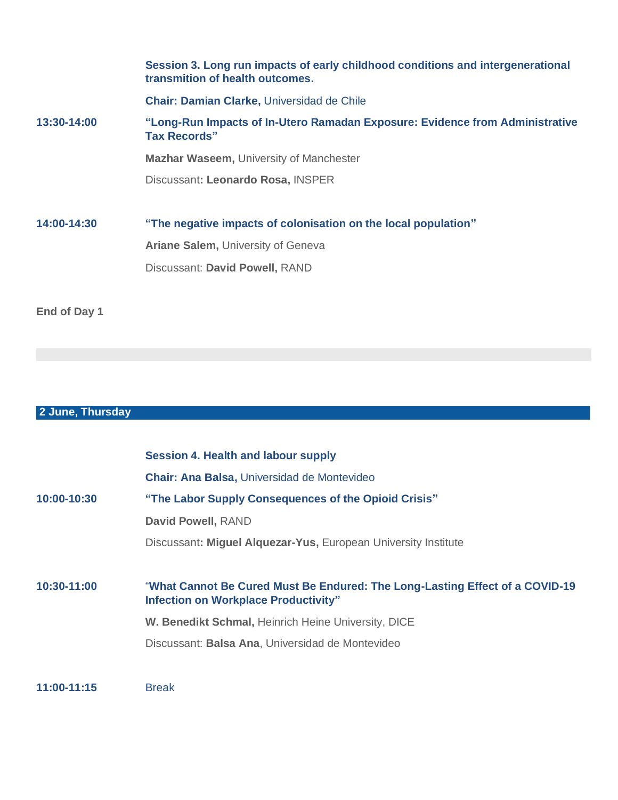|             | Session 3. Long run impacts of early childhood conditions and intergenerational<br>transmition of health outcomes. |
|-------------|--------------------------------------------------------------------------------------------------------------------|
|             | <b>Chair: Damian Clarke, Universidad de Chile</b>                                                                  |
| 13:30-14:00 | "Long-Run Impacts of In-Utero Ramadan Exposure: Evidence from Administrative<br><b>Tax Records"</b>                |
|             | <b>Mazhar Waseem, University of Manchester</b>                                                                     |
|             | Discussant: Leonardo Rosa, INSPER                                                                                  |
| 14:00-14:30 | "The negative impacts of colonisation on the local population"                                                     |
|             | <b>Ariane Salem, University of Geneva</b>                                                                          |
|             | Discussant: David Powell, RAND                                                                                     |
|             |                                                                                                                    |
|             |                                                                                                                    |

**End of Day 1**

#### **2 June, Thursday**

|             | <b>Session 4. Health and labour supply</b>                                                                                  |
|-------------|-----------------------------------------------------------------------------------------------------------------------------|
|             | Chair: Ana Balsa, Universidad de Montevideo                                                                                 |
| 10:00-10:30 | "The Labor Supply Consequences of the Opioid Crisis"                                                                        |
|             | David Powell, RAND                                                                                                          |
|             | Discussant: Miguel Alquezar-Yus, European University Institute                                                              |
|             |                                                                                                                             |
| 10:30-11:00 | "What Cannot Be Cured Must Be Endured: The Long-Lasting Effect of a COVID-19<br><b>Infection on Workplace Productivity"</b> |
|             | W. Benedikt Schmal, Heinrich Heine University, DICE                                                                         |
|             | Discussant: Balsa Ana, Universidad de Montevideo                                                                            |
|             |                                                                                                                             |
| 11:00-11:15 | <b>Break</b>                                                                                                                |